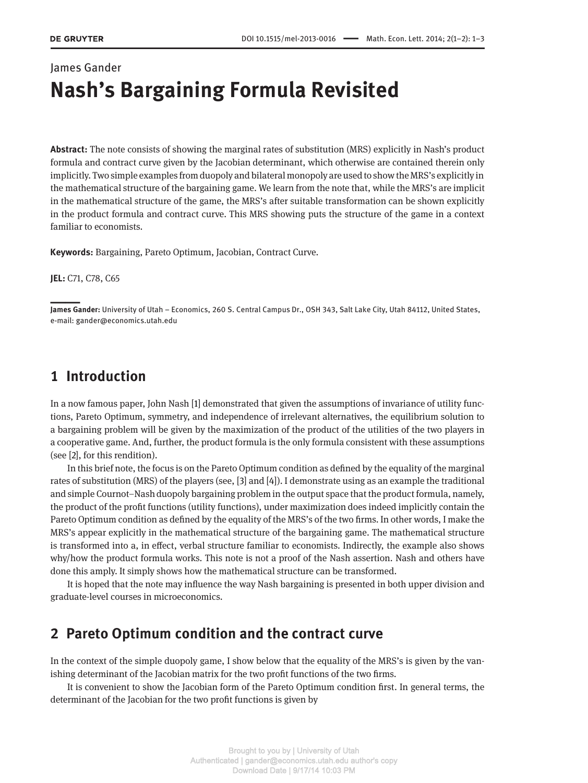# James Gander **Nash's Bargaining Formula Revisited**

**Abstract:** The note consists of showing the marginal rates of substitution (MRS) explicitly in Nash's product formula and contract curve given by the Jacobian determinant, which otherwise are contained therein only implicitly. Two simple examples from duopoly and bilateral monopoly are used to show the MRS's explicitly in the mathematical structure of the bargaining game. We learn from the note that, while the MRS's are implicit in the mathematical structure of the game, the MRS's after suitable transformation can be shown explicitly in the product formula and contract curve. This MRS showing puts the structure of the game in a context familiar to economists.

**Keywords:** Bargaining, Pareto Optimum, Jacobian, Contract Curve.

**JEL:** C71, C78, C65

||**James Gander:** University of Utah – Economics, 260 S. Central Campus Dr., OSH 343, Salt Lake City, Utah 84112, United States, e-mail: gander@economics.utah.edu

# **1 Introduction**

In a now famous paper, John Nash [\[1](#page-2-0)] demonstrated that given the assumptions of invariance of utility functions, Pareto Optimum, symmetry, and independence of irrelevant alternatives, the equilibrium solution to a bargaining problem will be given by the maximization of the product of the utilities of the two players in a cooperative game. And, further, the product formula is the only formula consistent with these assumptions (see [\[2\]](#page-2-1), for this rendition).

In this brief note, the focus is on the Pareto Optimum condition as defined by the equality of the marginal rates of substitution (MRS) of the players (see, [\[3\]](#page-2-2) and [\[4\]](#page-2-3)). I demonstrate using as an example the traditional and simple Cournot–Nash duopoly bargaining problem in the output space that the product formula, namely, the product of the profit functions (utility functions), under maximization does indeed implicitly contain the Pareto Optimum condition as defined by the equality of the MRS's of the two firms. In other words, I make the MRS's appear explicitly in the mathematical structure of the bargaining game. The mathematical structure is transformed into a, in effect, verbal structure familiar to economists. Indirectly, the example also shows why/how the product formula works. This note is not a proof of the Nash assertion. Nash and others have done this amply. It simply shows how the mathematical structure can be transformed.

It is hoped that the note may influence the way Nash bargaining is presented in both upper division and graduate-level courses in microeconomics.

# **2 Pareto Optimum condition and the contract curve**

In the context of the simple duopoly game, I show below that the equality of the MRS's is given by the vanishing determinant of the Jacobian matrix for the two profit functions of the two firms.

It is convenient to show the Jacobian form of the Pareto Optimum condition first. In general terms, the determinant of the Jacobian for the two profit functions is given by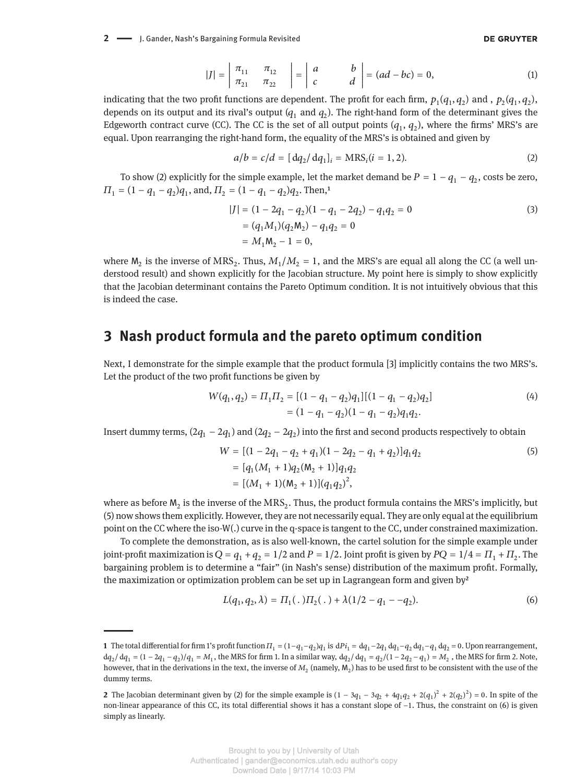**2** - J. Gander, Nash's Bargaining Formula Revisited

#### <span id="page-1-0"></span>**DE GRUYTER**

$$
|J| = \begin{vmatrix} \pi_{11} & \pi_{12} \\ \pi_{21} & \pi_{22} \end{vmatrix} = \begin{vmatrix} a & b \\ c & d \end{vmatrix} = (ad - bc) = 0,
$$
 (1)

indicating that the two profit functions are dependent. The profit for each firm,  $p_1(q_1, q_2)$  and ,  $p_2(q_1, q_2)$ , depends on its output and its rival's output  $(q_1 \text{ and } q_2)$ . The right-hand form of the determinant gives the Edgeworth contract curve (CC). The CC is the set of all output points  $(q_1, q_2)$ , where the firms' MRS's are equal. Upon rearranging the right-hand form, the equality of the MRS's is obtained and given by

$$
a/b = c/d = [dq_2/dq_1]_i = \text{MRS}_i(i = 1, 2).
$$
 (2)

To show [\(2\)](#page-1-0) explicitly for the simple example, let the market demand be  $P=1-q_1-q_2$ , costs be zero,  $\Pi_1 = (1 - q_1 - q_2)q_1$ , and,  $\Pi_2 = (1 - q_1 - q_2)q_2$ . Then,<sup>1</sup>

$$
|J| = (1 - 2q_1 - q_2)(1 - q_1 - 2q_2) - q_1q_2 = 0
$$
  
=  $(q_1M_1)(q_2M_2) - q_1q_2 = 0$   
=  $M_1M_2 - 1 = 0$ , (3)

where  $M_2$  is the inverse of MRS<sub>2</sub>. Thus,  $M_1/M_2 = 1$ , and the MRS's are equal all along the CC (a well understood result) and shown explicitly for the Jacobian structure. My point here is simply to show explicitly that the Jacobian determinant contains the Pareto Optimum condition. It is not intuitively obvious that this is indeed the case.

### **3 Nash product formula and the pareto optimum condition**

Next, I demonstrate for the simple example that the product formula [\[3\]](#page-2-2) implicitly contains the two MRS's. Let the product of the two profit functions be given by

$$
W(q_1, q_2) = \Pi_1 \Pi_2 = [(1 - q_1 - q_2)q_1][(1 - q_1 - q_2)q_2]
$$
  
= (1 - q\_1 - q\_2)(1 - q\_1 - q\_2)q\_1q\_2. (4)

Insert dummy terms,  $(2q_1 - 2q_1)$  and  $(2q_2 - 2q_2)$  into the first and second products respectively to obtain

<span id="page-1-1"></span>
$$
W = [(1 - 2q_1 - q_2 + q_1)(1 - 2q_2 - q_1 + q_2)]q_1q_2
$$
  
=  $[q_1(M_1 + 1)q_2(M_2 + 1)]q_1q_2$   
=  $[(M_1 + 1)(M_2 + 1)](q_1q_2)^2$ , (5)

where as before  $M_2$  is the inverse of the MRS<sub>2</sub>. Thus, the product formula contains the MRS's implicitly, but [\(5\)](#page-1-1) now shows them explicitly. However, they are not necessarily equal. They are only equal at the equilibrium point on the CC where the iso-W(.) curve in the q-space is tangent to the CC, under constrained maximization.

To complete the demonstration, as is also well-known, the cartel solution for the simple example under joint-profit maximization is  $Q = q_1 + q_2 = 1/2$  and  $P = 1/2$ . Joint profit is given by  $PQ = 1/4 = \Pi_1 + \Pi_2$ . The bargaining problem is to determine a "fair" (in Nash's sense) distribution of the maximum profit. Formally, the maximization or optimization problem can be set up in Lagrangean form and given by<sup>2</sup>

<span id="page-1-2"></span>
$$
L(q_1, q_2, \lambda) = \Pi_1(. \cdot) \Pi_2(.) + \lambda (1/2 - q_1 - q_2). \tag{6}
$$

**<sup>1</sup>** The total differential for firm 1's profit function  $\Pi_1 = (1 - q_1 - q_2)q_1$  is  $dPl_1 = dq_1 - q_1 dq_1 - q_2 dq_1 - q_1 dq_2 = 0$ . Upon rearrangement,  $dq_2/dq_1 = (1 - 2q_1 - q_2)/q_1 = M_1$ , the MRS for firm 1. In a similar way,  $dq_2/dq_1 = q_2/(1 - 2q_2 - q_1) = M_2$ , the MRS for firm 2. Note, however, that in the derivations in the text, the inverse of  $M_2$  (namely,  $M_2$ ) has to be used first to be consistent with the use of the dummy terms.

**<sup>2</sup>** The Jacobian determinant given by [\(2\)](#page-1-0) for the simple example is  $(1 - 3q_1 - 3q_2 + 4q_1q_2 + 2(q_1)^2 + 2(q_2)^2) = 0$ . In spite of the non-linear appearance of this CC, its total differential shows it has a constant slope of −1. Thus, the constraint on [\(6\)](#page-1-2) is given simply as linearly.